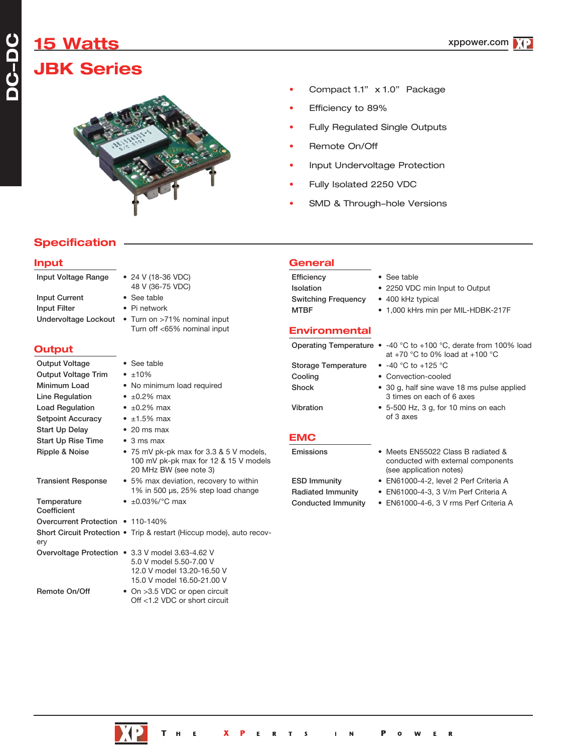# **15 Watts JBK Series**



- Compact 1.1" x 1.0" Package
- Efficiency to 89%
- Fully Regulated Single Outputs
- Remote On/Off
- Input Undervoltage Protection
- Fully Isolated 2250 VDC
- SMD & Through-hole Versions

## **Specification**

#### **Input**

**DC-DC**

| Input Voltage Range               | $\bullet$ 24 V (18-36 VDC)<br>48 V (36-75 VDC)                                                             |
|-----------------------------------|------------------------------------------------------------------------------------------------------------|
| <b>Input Current</b>              | • See table                                                                                                |
| <b>Input Filter</b>               | • Pi network                                                                                               |
| Undervoltage Lockout              | • Turn on >71% nominal input                                                                               |
|                                   | Turn off <65% nominal input                                                                                |
| Output                            |                                                                                                            |
| <b>Output Voltage</b>             | • See table                                                                                                |
| <b>Output Voltage Trim</b>        | $\bullet$ $\pm 10\%$                                                                                       |
| Minimum Load                      | • No minimum load required                                                                                 |
| Line Regulation                   | • $\pm 0.2\%$ max                                                                                          |
| <b>Load Regulation</b>            | $\cdot$ ±0.2% max                                                                                          |
| <b>Setpoint Accuracy</b>          | $\bullet$ ±1.5% max                                                                                        |
| <b>Start Up Delay</b>             | $\bullet$ 20 ms max                                                                                        |
| <b>Start Up Rise Time</b>         | $\bullet$ 3 ms max                                                                                         |
| Ripple & Noise                    | • 75 mV pk-pk max for 3.3 & 5 V models,<br>100 mV pk-pk max for 12 & 15 V models<br>20 MHz BW (see note 3) |
| <b>Transient Response</b>         | • 5% max deviation, recovery to within<br>1% in 500 $\mu$ s, 25% step load change                          |
| Temperature<br>Coefficient        | • $\pm 0.03\%$ /°C max                                                                                     |
| Overcurrent Protection • 110-140% |                                                                                                            |
| ery                               | Short Circuit Protection • Trip & restart (Hiccup mode), auto recov-                                       |
|                                   | Overvoltage Protection • 3.3 V model 3.63-4.62 V                                                           |
|                                   | 5.0 V model 5.50-7.00 V<br>12.0 V model 13.20-16.50 V                                                      |
|                                   | 15.0 V model 16.50-21.00 V                                                                                 |
| Remote On/Off                     | • On >3.5 VDC or open circuit                                                                              |
|                                   |                                                                                                            |

Off <1.2 VDC or short circuit

| <b>General</b>             |                                    |
|----------------------------|------------------------------------|
| Efficiency                 | • See table                        |
| <b>Isolation</b>           | • 2250 VDC min Input to Output     |
| <b>Switching Frequency</b> | • 400 kHz typical                  |
| <b>MTBF</b>                | • 1,000 kHrs min per MIL-HDBK-217F |
|                            |                                    |

#### **Environmental**

|                                                                                               |                            | Operating Temperature $\bullet$ -40 °C to +100 °C, derate from 100% load                            |
|-----------------------------------------------------------------------------------------------|----------------------------|-----------------------------------------------------------------------------------------------------|
|                                                                                               |                            | at +70 $\degree$ C to 0% load at +100 $\degree$ C                                                   |
| table                                                                                         | <b>Storage Temperature</b> | • $-40$ °C to $+125$ °C                                                                             |
| ℅                                                                                             | Cooling                    | • Convection-cooled                                                                                 |
| ninimum load required                                                                         | <b>Shock</b>               | • 30 g, half sine wave 18 ms pulse applied                                                          |
| % max                                                                                         |                            | 3 times on each of 6 axes                                                                           |
| % max                                                                                         | <b>Vibration</b>           | $\bullet$ 5-500 Hz, 3 g, for 10 mins on each                                                        |
| % max                                                                                         |                            | of 3 axes                                                                                           |
| ıs max                                                                                        |                            |                                                                                                     |
| s max                                                                                         | EMC                        |                                                                                                     |
| N pk-pk max for 3.3 & 5 V models,<br>mV pk-pk max for 12 & 15 V models<br>IHz BW (see note 3) | Emissions                  | • Meets EN55022 Class B radiated &<br>conducted with external components<br>(see application notes) |
| max deviation, recovery to within                                                             | <b>ESD Immunity</b>        | • EN61000-4-2, level 2 Perf Criteria A                                                              |
| n 500 µs, 25% step load change                                                                | Radiated Immunity          | • EN61000-4-3, 3 V/m Perf Criteria A                                                                |
| 3%/°C max                                                                                     | Conducted Immunity         | • EN61000-4-6, 3 V rms Perf Criteria A                                                              |
| 140%                                                                                          |                            |                                                                                                     |
| & restart (Hiccup mode), auto recov-                                                          |                            |                                                                                                     |
|                                                                                               |                            |                                                                                                     |